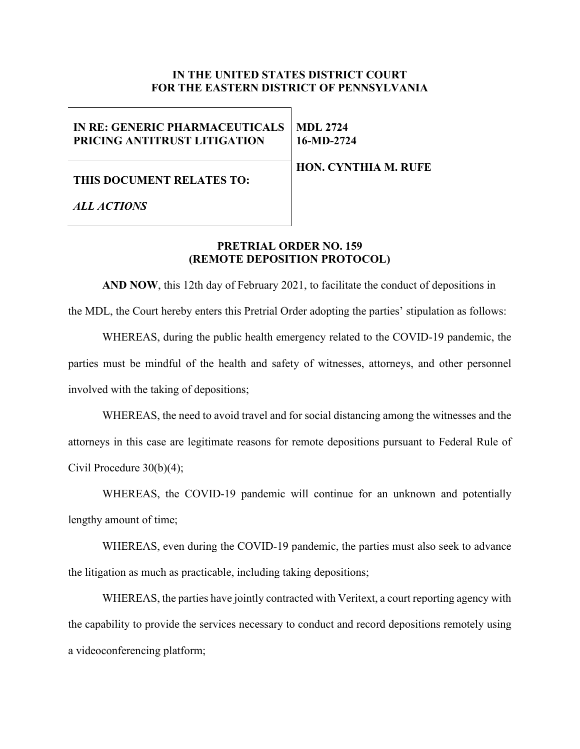# **IN THE UNITED STATES DISTRICT COURT FOR THE EASTERN DISTRICT OF PENNSYLVANIA**

#### **IN RE: GENERIC PHARMACEUTICALS PRICING ANTITRUST LITIGATION MDL 2724 16-MD-2724**

**HON. CYNTHIA M. RUFE**

## **THIS DOCUMENT RELATES TO:**

*ALL ACTIONS*

# **PRETRIAL ORDER NO. 159 (REMOTE DEPOSITION PROTOCOL)**

**AND NOW**, this 12th day of February 2021, to facilitate the conduct of depositions in the MDL, the Court hereby enters this Pretrial Order adopting the parties' stipulation as follows:

WHEREAS, during the public health emergency related to the COVID-19 pandemic, the parties must be mindful of the health and safety of witnesses, attorneys, and other personnel involved with the taking of depositions;

WHEREAS, the need to avoid travel and for social distancing among the witnesses and the attorneys in this case are legitimate reasons for remote depositions pursuant to Federal Rule of Civil Procedure 30(b)(4);

WHEREAS, the COVID-19 pandemic will continue for an unknown and potentially lengthy amount of time;

WHEREAS, even during the COVID-19 pandemic, the parties must also seek to advance the litigation as much as practicable, including taking depositions;

WHEREAS, the parties have jointly contracted with Veritext, a court reporting agency with the capability to provide the services necessary to conduct and record depositions remotely using a videoconferencing platform;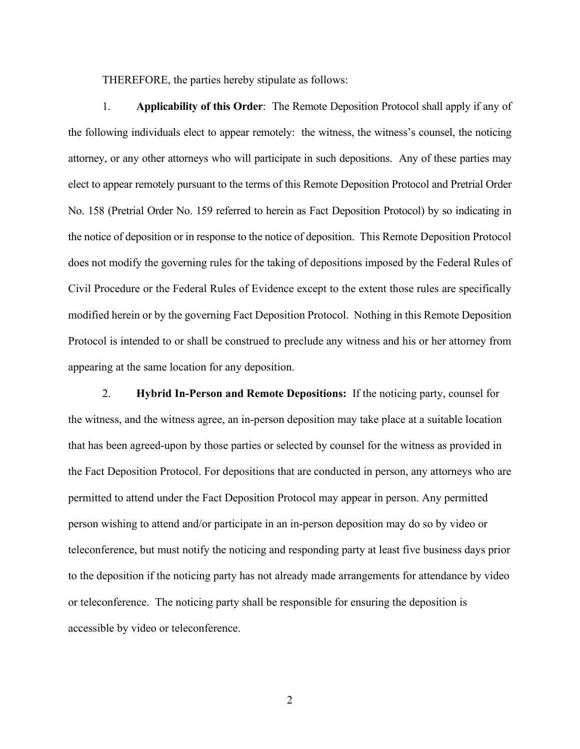THEREFORE, the parties hereby stipulate as follows:

1. **Applicability of this Order**: The Remote Deposition Protocol shall apply if any of the following individuals elect to appear remotely: the witness, the witness's counsel, the noticing attorney, or any other attorneys who will participate in such depositions. Any of these parties may elect to appear remotely pursuant to the terms of this Remote Deposition Protocol and Pretrial Order No. 158 (Pretrial Order No. 159 referred to herein as Fact Deposition Protocol) by so indicating in the notice of deposition or in response to the notice of deposition. This Remote Deposition Protocol does not modify the governing rules for the taking of depositions imposed by the Federal Rules of Civil Procedure or the Federal Rules of Evidence except to the extent those rules are specifically modified herein or by the governing Fact Deposition Protocol. Nothing in this Remote Deposition Protocol is intended to or shall be construed to preclude any witness and his or her attorney from appearing at the same location for any deposition.

2. **Hybrid In-Person and Remote Depositions:** If the noticing party, counsel for the witness, and the witness agree, an in-person deposition may take place at a suitable location that has been agreed-upon by those parties or selected by counsel for the witness as provided in the Fact Deposition Protocol. For depositions that are conducted in person, any attorneys who are permitted to attend under the Fact Deposition Protocol may appear in person. Any permitted person wishing to attend and/or participate in an in-person deposition may do so by video or teleconference, but must notify the noticing and responding party at least five business days prior to the deposition if the noticing party has not already made arrangements for attendance by video or teleconference. The noticing party shall be responsible for ensuring the deposition is accessible by video or teleconference.

2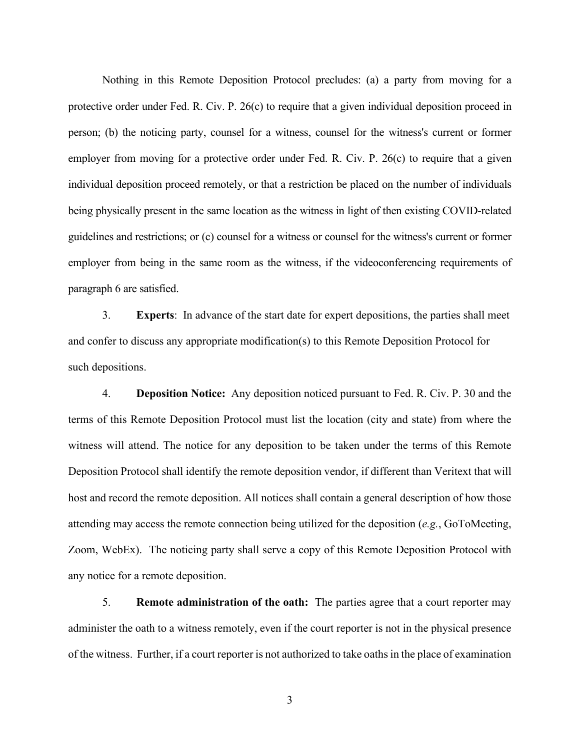Nothing in this Remote Deposition Protocol precludes: (a) a party from moving for a protective order under Fed. R. Civ. P. 26(c) to require that a given individual deposition proceed in person; (b) the noticing party, counsel for a witness, counsel for the witness's current or former employer from moving for a protective order under Fed. R. Civ. P. 26(c) to require that a given individual deposition proceed remotely, or that a restriction be placed on the number of individuals being physically present in the same location as the witness in light of then existing COVID-related guidelines and restrictions; or (c) counsel for a witness or counsel for the witness's current or former employer from being in the same room as the witness, if the videoconferencing requirements of paragraph 6 are satisfied.

3. **Experts**: In advance of the start date for expert depositions, the parties shall meet and confer to discuss any appropriate modification(s) to this Remote Deposition Protocol for such depositions.

4. **Deposition Notice:** Any deposition noticed pursuant to Fed. R. Civ. P. 30 and the terms of this Remote Deposition Protocol must list the location (city and state) from where the witness will attend. The notice for any deposition to be taken under the terms of this Remote Deposition Protocol shall identify the remote deposition vendor, if different than Veritext that will host and record the remote deposition. All notices shall contain a general description of how those attending may access the remote connection being utilized for the deposition (*e.g.*, GoToMeeting, Zoom, WebEx). The noticing party shall serve a copy of this Remote Deposition Protocol with any notice for a remote deposition.

5. **Remote administration of the oath:** The parties agree that a court reporter may administer the oath to a witness remotely, even if the court reporter is not in the physical presence of the witness. Further, if a court reporter is not authorized to take oaths in the place of examination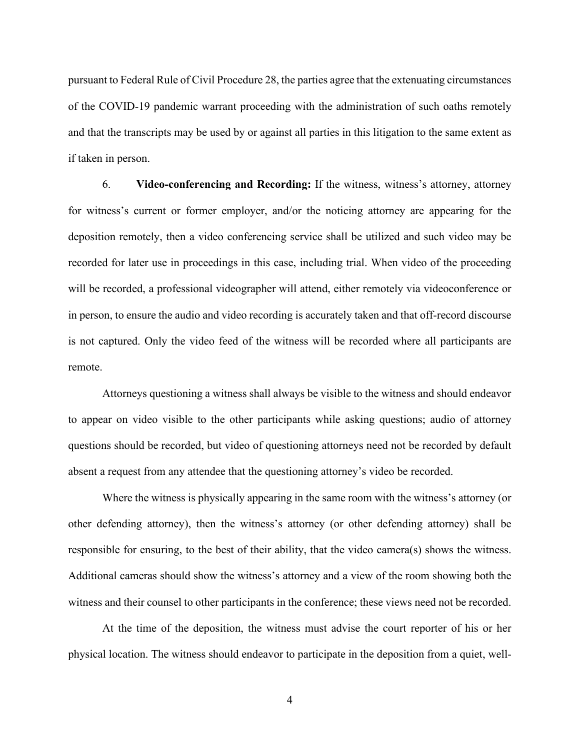pursuant to Federal Rule of Civil Procedure 28, the parties agree that the extenuating circumstances of the COVID-19 pandemic warrant proceeding with the administration of such oaths remotely and that the transcripts may be used by or against all parties in this litigation to the same extent as if taken in person.

6. **Video-conferencing and Recording:** If the witness, witness's attorney, attorney for witness's current or former employer, and/or the noticing attorney are appearing for the deposition remotely, then a video conferencing service shall be utilized and such video may be recorded for later use in proceedings in this case, including trial. When video of the proceeding will be recorded, a professional videographer will attend, either remotely via videoconference or in person, to ensure the audio and video recording is accurately taken and that off-record discourse is not captured. Only the video feed of the witness will be recorded where all participants are remote.

Attorneys questioning a witness shall always be visible to the witness and should endeavor to appear on video visible to the other participants while asking questions; audio of attorney questions should be recorded, but video of questioning attorneys need not be recorded by default absent a request from any attendee that the questioning attorney's video be recorded.

Where the witness is physically appearing in the same room with the witness's attorney (or other defending attorney), then the witness's attorney (or other defending attorney) shall be responsible for ensuring, to the best of their ability, that the video camera(s) shows the witness. Additional cameras should show the witness's attorney and a view of the room showing both the witness and their counsel to other participants in the conference; these views need not be recorded.

At the time of the deposition, the witness must advise the court reporter of his or her physical location. The witness should endeavor to participate in the deposition from a quiet, well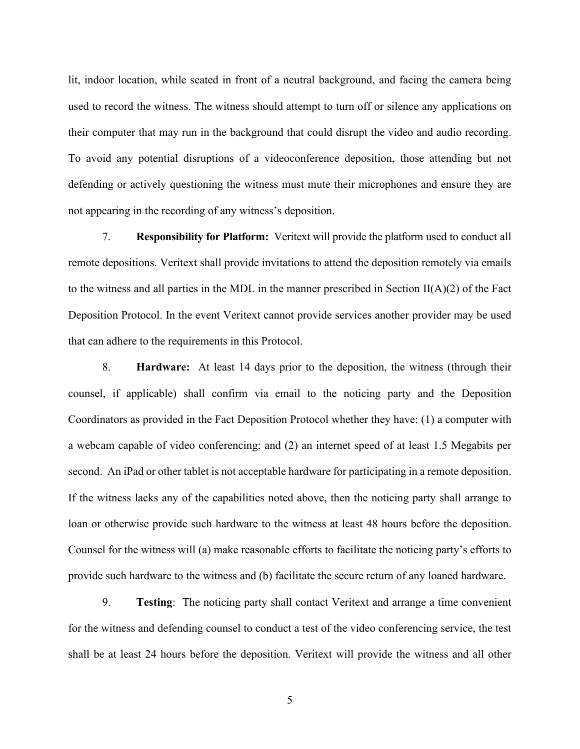lit, indoor location, while seated in front of a neutral background, and facing the camera being used to record the witness. The witness should attempt to turn off or silence any applications on their computer that may run in the background that could disrupt the video and audio recording. To avoid any potential disruptions of a videoconference deposition, those attending but not defending or actively questioning the witness must mute their microphones and ensure they are not appearing in the recording of any witness's deposition.

7. **Responsibility for Platform:** Veritext will provide the platform used to conduct all remote depositions. Veritext shall provide invitations to attend the deposition remotely via emails to the witness and all parties in the MDL in the manner prescribed in Section  $II(A)(2)$  of the Fact Deposition Protocol. In the event Veritext cannot provide services another provider may be used that can adhere to the requirements in this Protocol.

8. **Hardware:** At least 14 days prior to the deposition, the witness (through their counsel, if applicable) shall confirm via email to the noticing party and the Deposition Coordinators as provided in the Fact Deposition Protocol whether they have: (1) a computer with a webcam capable of video conferencing; and (2) an internet speed of at least 1.5 Megabits per second. An iPad or other tablet is not acceptable hardware for participating in a remote deposition. If the witness lacks any of the capabilities noted above, then the noticing party shall arrange to loan or otherwise provide such hardware to the witness at least 48 hours before the deposition. Counsel for the witness will (a) make reasonable efforts to facilitate the noticing party's efforts to provide such hardware to the witness and (b) facilitate the secure return of any loaned hardware.

9. **Testing**: The noticing party shall contact Veritext and arrange a time convenient for the witness and defending counsel to conduct a test of the video conferencing service, the test shall be at least 24 hours before the deposition. Veritext will provide the witness and all other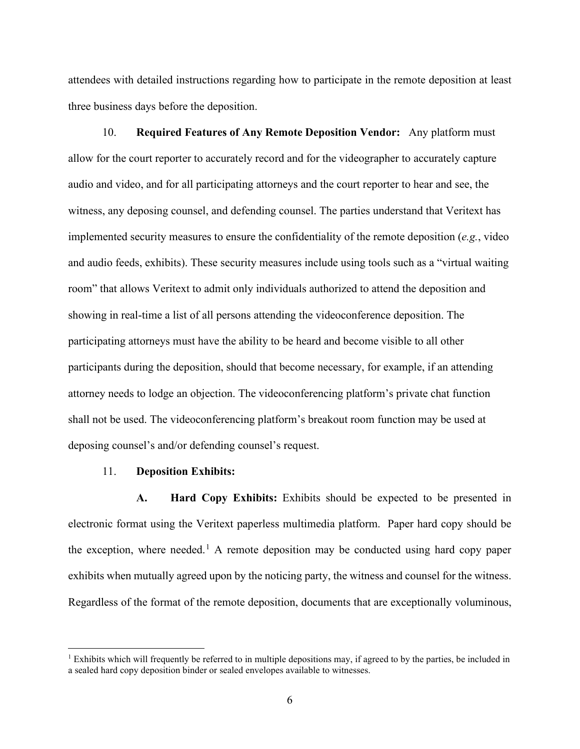attendees with detailed instructions regarding how to participate in the remote deposition at least three business days before the deposition.

10. **Required Features of Any Remote Deposition Vendor:** Any platform must allow for the court reporter to accurately record and for the videographer to accurately capture audio and video, and for all participating attorneys and the court reporter to hear and see, the witness, any deposing counsel, and defending counsel. The parties understand that Veritext has implemented security measures to ensure the confidentiality of the remote deposition (*e.g.*, video and audio feeds, exhibits). These security measures include using tools such as a "virtual waiting room" that allows Veritext to admit only individuals authorized to attend the deposition and showing in real-time a list of all persons attending the videoconference deposition. The participating attorneys must have the ability to be heard and become visible to all other participants during the deposition, should that become necessary, for example, if an attending attorney needs to lodge an objection. The videoconferencing platform's private chat function shall not be used. The videoconferencing platform's breakout room function may be used at deposing counsel's and/or defending counsel's request.

### 11. **Deposition Exhibits:**

**A. Hard Copy Exhibits:** Exhibits should be expected to be presented in electronic format using the Veritext paperless multimedia platform. Paper hard copy should be the exception, where needed.<sup>1</sup> A remote deposition may be conducted using hard copy paper exhibits when mutually agreed upon by the noticing party, the witness and counsel for the witness. Regardless of the format of the remote deposition, documents that are exceptionally voluminous,

<sup>&</sup>lt;sup>1</sup> Exhibits which will frequently be referred to in multiple depositions may, if agreed to by the parties, be included in a sealed hard copy deposition binder or sealed envelopes available to witnesses.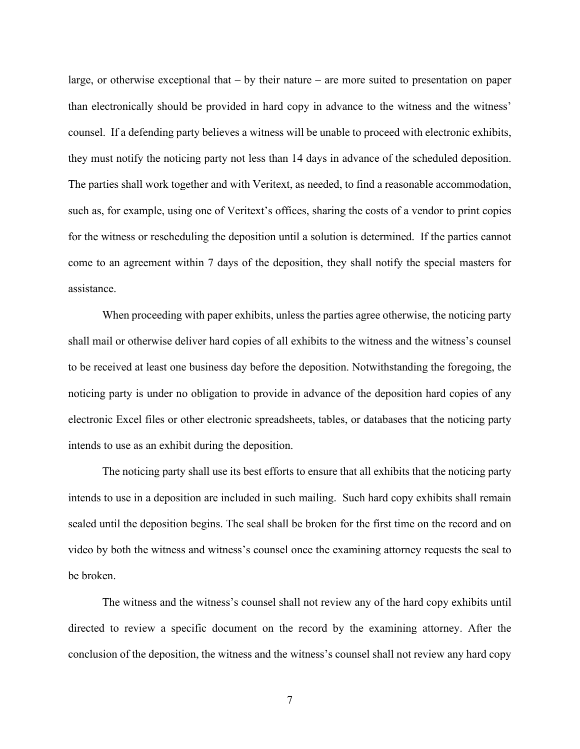large, or otherwise exceptional that – by their nature – are more suited to presentation on paper than electronically should be provided in hard copy in advance to the witness and the witness' counsel. If a defending party believes a witness will be unable to proceed with electronic exhibits, they must notify the noticing party not less than 14 days in advance of the scheduled deposition. The parties shall work together and with Veritext, as needed, to find a reasonable accommodation, such as, for example, using one of Veritext's offices, sharing the costs of a vendor to print copies for the witness or rescheduling the deposition until a solution is determined. If the parties cannot come to an agreement within 7 days of the deposition, they shall notify the special masters for assistance.

When proceeding with paper exhibits, unless the parties agree otherwise, the noticing party shall mail or otherwise deliver hard copies of all exhibits to the witness and the witness's counsel to be received at least one business day before the deposition. Notwithstanding the foregoing, the noticing party is under no obligation to provide in advance of the deposition hard copies of any electronic Excel files or other electronic spreadsheets, tables, or databases that the noticing party intends to use as an exhibit during the deposition.

The noticing party shall use its best efforts to ensure that all exhibits that the noticing party intends to use in a deposition are included in such mailing. Such hard copy exhibits shall remain sealed until the deposition begins. The seal shall be broken for the first time on the record and on video by both the witness and witness's counsel once the examining attorney requests the seal to be broken.

The witness and the witness's counsel shall not review any of the hard copy exhibits until directed to review a specific document on the record by the examining attorney. After the conclusion of the deposition, the witness and the witness's counsel shall not review any hard copy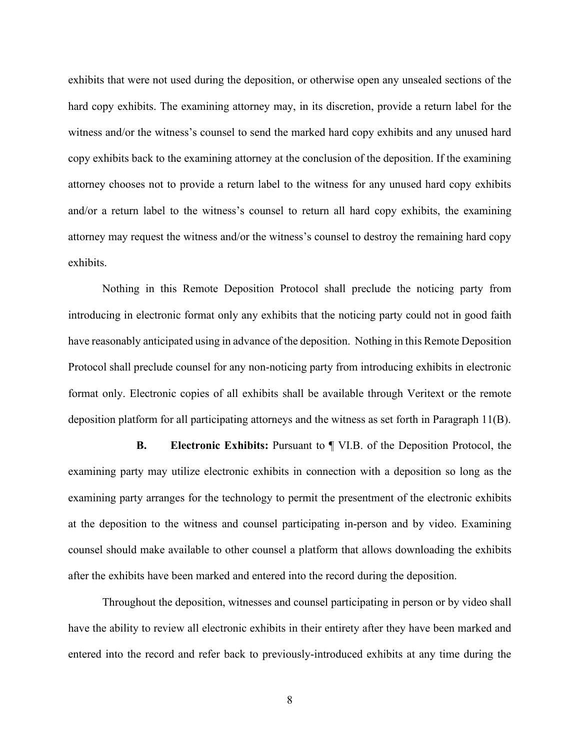exhibits that were not used during the deposition, or otherwise open any unsealed sections of the hard copy exhibits. The examining attorney may, in its discretion, provide a return label for the witness and/or the witness's counsel to send the marked hard copy exhibits and any unused hard copy exhibits back to the examining attorney at the conclusion of the deposition. If the examining attorney chooses not to provide a return label to the witness for any unused hard copy exhibits and/or a return label to the witness's counsel to return all hard copy exhibits, the examining attorney may request the witness and/or the witness's counsel to destroy the remaining hard copy exhibits.

Nothing in this Remote Deposition Protocol shall preclude the noticing party from introducing in electronic format only any exhibits that the noticing party could not in good faith have reasonably anticipated using in advance of the deposition. Nothing in this Remote Deposition Protocol shall preclude counsel for any non-noticing party from introducing exhibits in electronic format only. Electronic copies of all exhibits shall be available through Veritext or the remote deposition platform for all participating attorneys and the witness as set forth in Paragraph 11(B).

**B. Electronic Exhibits:** Pursuant to ¶ VI.B. of the Deposition Protocol, the examining party may utilize electronic exhibits in connection with a deposition so long as the examining party arranges for the technology to permit the presentment of the electronic exhibits at the deposition to the witness and counsel participating in-person and by video. Examining counsel should make available to other counsel a platform that allows downloading the exhibits after the exhibits have been marked and entered into the record during the deposition.

Throughout the deposition, witnesses and counsel participating in person or by video shall have the ability to review all electronic exhibits in their entirety after they have been marked and entered into the record and refer back to previously-introduced exhibits at any time during the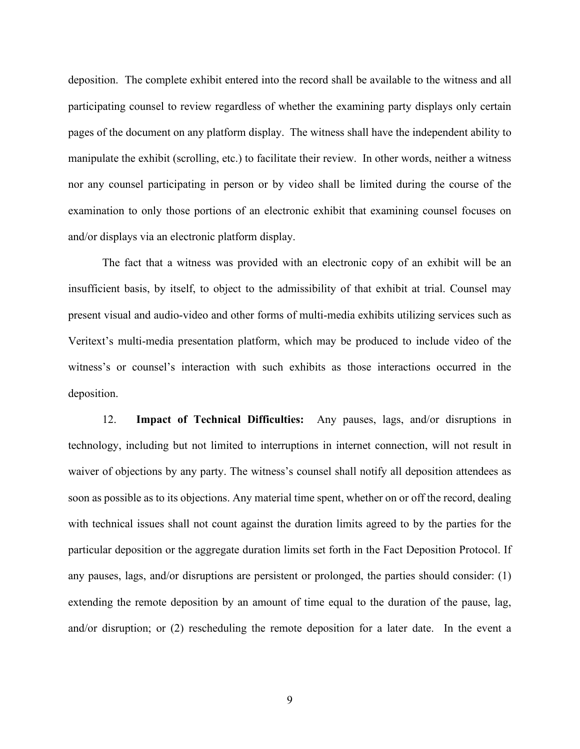deposition. The complete exhibit entered into the record shall be available to the witness and all participating counsel to review regardless of whether the examining party displays only certain pages of the document on any platform display. The witness shall have the independent ability to manipulate the exhibit (scrolling, etc.) to facilitate their review. In other words, neither a witness nor any counsel participating in person or by video shall be limited during the course of the examination to only those portions of an electronic exhibit that examining counsel focuses on and/or displays via an electronic platform display.

The fact that a witness was provided with an electronic copy of an exhibit will be an insufficient basis, by itself, to object to the admissibility of that exhibit at trial. Counsel may present visual and audio-video and other forms of multi-media exhibits utilizing services such as Veritext's multi-media presentation platform, which may be produced to include video of the witness's or counsel's interaction with such exhibits as those interactions occurred in the deposition.

12. **Impact of Technical Difficulties:** Any pauses, lags, and/or disruptions in technology, including but not limited to interruptions in internet connection, will not result in waiver of objections by any party. The witness's counsel shall notify all deposition attendees as soon as possible as to its objections. Any material time spent, whether on or off the record, dealing with technical issues shall not count against the duration limits agreed to by the parties for the particular deposition or the aggregate duration limits set forth in the Fact Deposition Protocol. If any pauses, lags, and/or disruptions are persistent or prolonged, the parties should consider: (1) extending the remote deposition by an amount of time equal to the duration of the pause, lag, and/or disruption; or (2) rescheduling the remote deposition for a later date. In the event a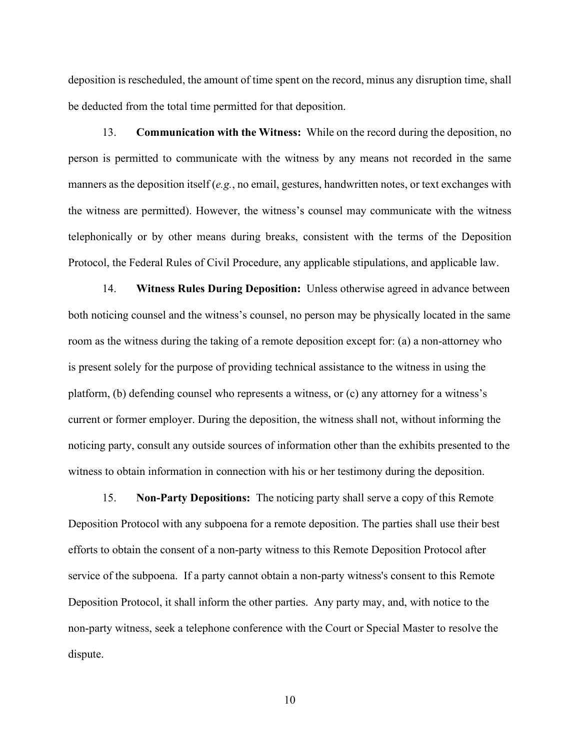deposition is rescheduled, the amount of time spent on the record, minus any disruption time, shall be deducted from the total time permitted for that deposition.

13. **Communication with the Witness:** While on the record during the deposition, no person is permitted to communicate with the witness by any means not recorded in the same manners as the deposition itself (*e.g.*, no email, gestures, handwritten notes, or text exchanges with the witness are permitted). However, the witness's counsel may communicate with the witness telephonically or by other means during breaks, consistent with the terms of the Deposition Protocol, the Federal Rules of Civil Procedure, any applicable stipulations, and applicable law.

14. **Witness Rules During Deposition:** Unless otherwise agreed in advance between both noticing counsel and the witness's counsel, no person may be physically located in the same room as the witness during the taking of a remote deposition except for: (a) a non-attorney who is present solely for the purpose of providing technical assistance to the witness in using the platform, (b) defending counsel who represents a witness, or (c) any attorney for a witness's current or former employer. During the deposition, the witness shall not, without informing the noticing party, consult any outside sources of information other than the exhibits presented to the witness to obtain information in connection with his or her testimony during the deposition.

15. **Non-Party Depositions:** The noticing party shall serve a copy of this Remote Deposition Protocol with any subpoena for a remote deposition. The parties shall use their best efforts to obtain the consent of a non-party witness to this Remote Deposition Protocol after service of the subpoena. If a party cannot obtain a non-party witness's consent to this Remote Deposition Protocol, it shall inform the other parties. Any party may, and, with notice to the non-party witness, seek a telephone conference with the Court or Special Master to resolve the dispute.

10